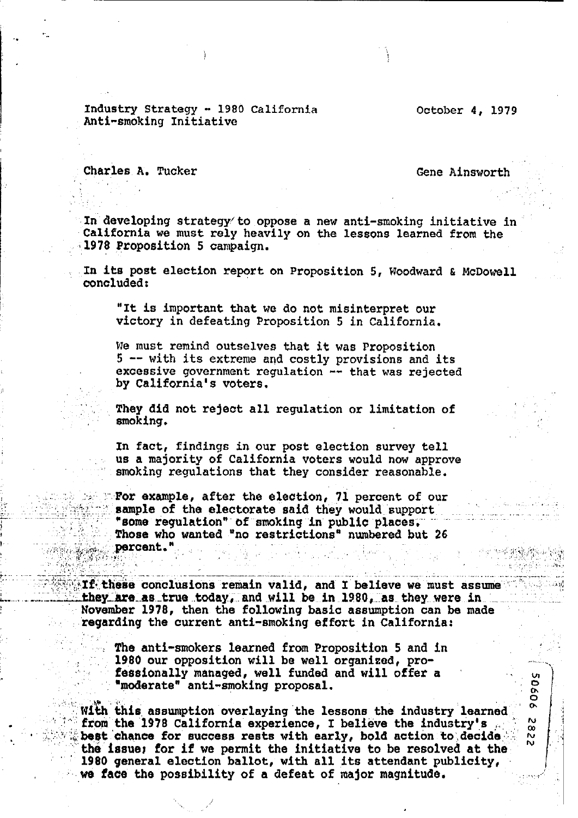Industry Strategy - 1980 California Anti-smoking Initiative

October 4, 1979

Charles A. Tucker

Gene Ainsworth

u<br>O

ŏ  $\sigma$ 

N.

œ

 $\frac{N}{N}$ 

In developing strategy to oppose a new anti-smoking initiative in California we must rely heavily on the lessons learned from the 1978 Proposition 5 campaign.

In its post election report on Proposition 5, Woodward & McDowell concluded:

"It is important that we do not misinterpret our victory in defeating Proposition 5 in California.

We must remind outselves that it was Proposition 5 -- with its extreme and costly provisions and its excessive government regulation -- that was rejected by California's voters.

They did not reject all regulation or limitation of smoking.

In fact, findings in our post election survey tell us a majority of California voters would now approve smoking regulations that they consider reasonable.

For example, after the election, 71 percent of our sample of the electorate said they would support "some regulation" of smoking in public places. Those who wanted "no restrictions" numbered but 26 percent."

If these conclusions remain valid, and I believe we must assume  $\mathbb{C}$ they are as true today, and will be in 1980, as they were in November 1978, then the following basic assumption can be made regarding the current anti-smoking effort in California:

The anti-smokers learned from Proposition 5 and in 1980 our opposition will be well organized, professionally managed, well funded and will offer a "moderate" anti-smoking proposal.

With this assumption overlaying the lessons the industry learned from the 1978 California experience, I believe the industry's best chance for success rests with early, bold action to decide the issue; for if we permit the initiative to be resolved at the 1980 general election ballot, with all its attendant publicity, we face the possibility of a defeat of major magnitude.